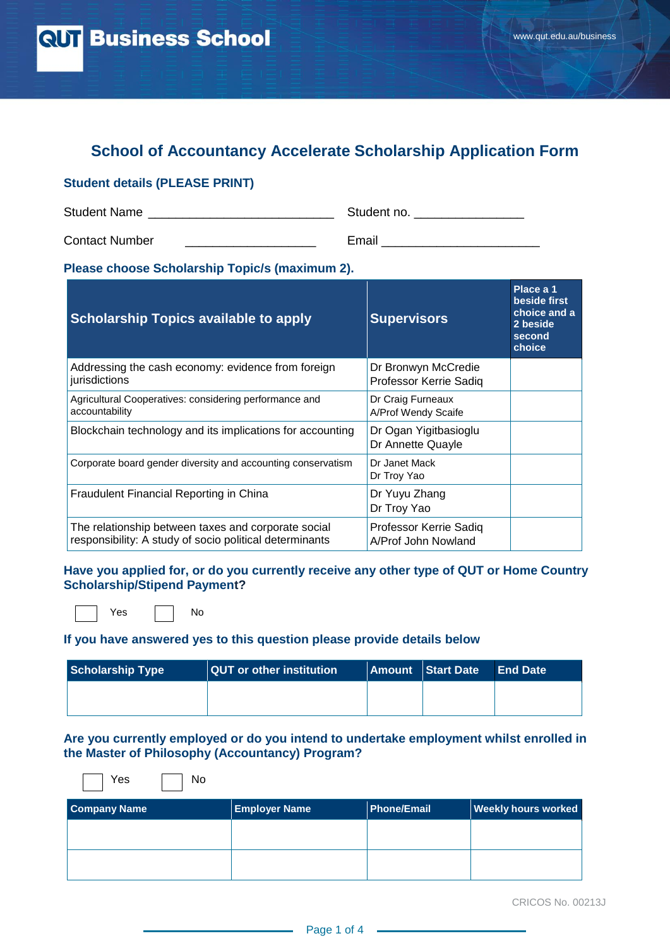# **School of Accountancy Accelerate Scholarship Application Form**

#### **Student details (PLEASE PRINT)**

| <b>Student Name</b>   | Student no. |
|-----------------------|-------------|
| <b>Contact Number</b> | Email       |

**Please choose Scholarship Topic/s (maximum 2).**

| <b>Scholarship Topics available to apply</b>                                                                   | <b>Supervisors</b>                            | Place a 1<br>beside first<br>choice and a<br>2 beside<br>second<br>choice |
|----------------------------------------------------------------------------------------------------------------|-----------------------------------------------|---------------------------------------------------------------------------|
| Addressing the cash economy: evidence from foreign<br>jurisdictions                                            | Dr Bronwyn McCredie<br>Professor Kerrie Sadig |                                                                           |
| Agricultural Cooperatives: considering performance and<br>accountability                                       | Dr Craig Furneaux<br>A/Prof Wendy Scaife      |                                                                           |
| Blockchain technology and its implications for accounting                                                      | Dr Ogan Yigitbasioglu<br>Dr Annette Quayle    |                                                                           |
| Corporate board gender diversity and accounting conservatism                                                   | Dr Janet Mack<br>Dr Troy Yao                  |                                                                           |
| Fraudulent Financial Reporting in China                                                                        | Dr Yuyu Zhang<br>Dr Troy Yao                  |                                                                           |
| The relationship between taxes and corporate social<br>responsibility: A study of socio political determinants | Professor Kerrie Sadiq<br>A/Prof John Nowland |                                                                           |

**Have you applied for, or do you currently receive any other type of QUT or Home Country Scholarship/Stipend Payment?** 

Yes **No** 

YesNo

#### **If you have answered yes to this question please provide details below**

| Scholarship Type | <b>QUT</b> or other institution | <b>Amount Start Date</b> | End Date |
|------------------|---------------------------------|--------------------------|----------|
|                  |                                 |                          |          |
|                  |                                 |                          |          |

#### **Are you currently employed or do you intend to undertake employment whilst enrolled in the Master of Philosophy (Accountancy) Program?**

| <b>Company Name</b> | <b>Employer Name</b> | <b>Phone/Email</b> | <b>Weekly hours worked</b> |
|---------------------|----------------------|--------------------|----------------------------|
|                     |                      |                    |                            |
|                     |                      |                    |                            |
|                     |                      |                    |                            |
|                     |                      |                    |                            |

CRICOS No. 00213J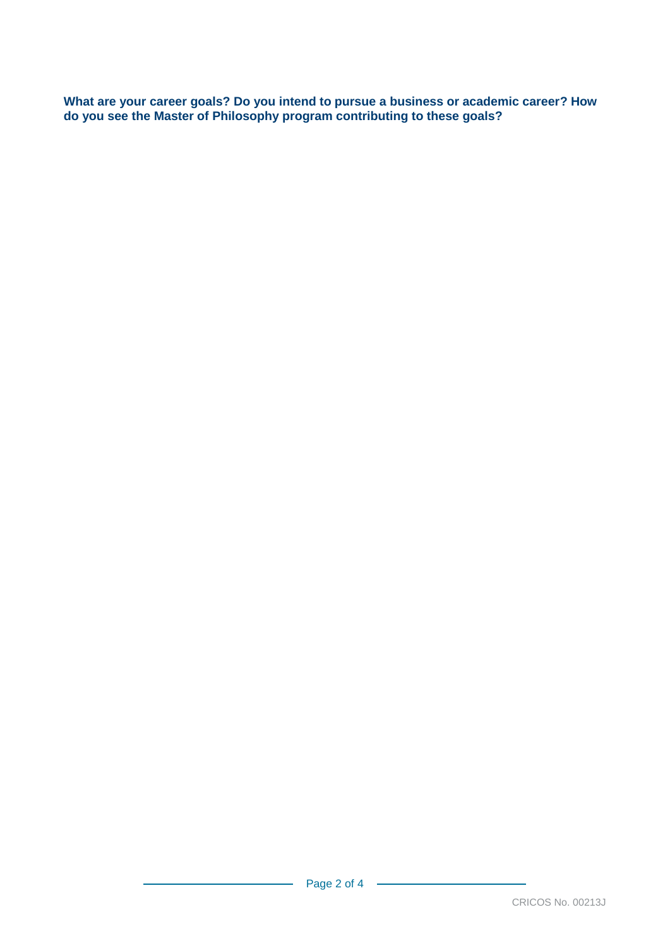**What are your career goals? Do you intend to pursue a business or academic career? How do you see the Master of Philosophy program contributing to these goals?**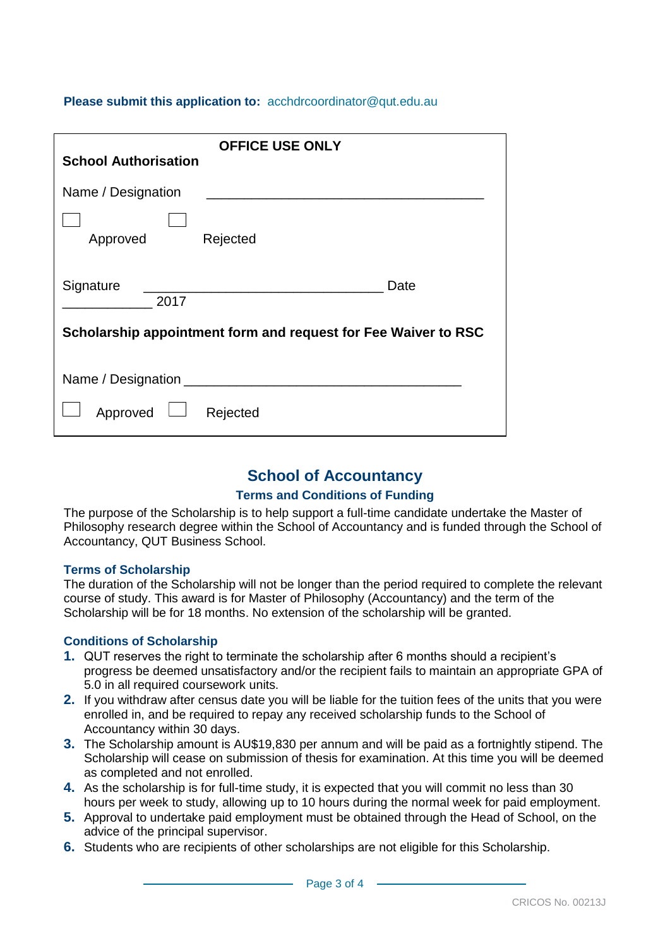## **Please submit this application to:** [acchdrcoordinator@qut.edu.au](mailto:acchdrcoordinator@qut.edu.au)

| <b>OFFICE USE ONLY</b>                                         |  |  |
|----------------------------------------------------------------|--|--|
| <b>School Authorisation</b>                                    |  |  |
| Name / Designation                                             |  |  |
| Rejected<br>Approved                                           |  |  |
| Signature<br>Date<br>2017                                      |  |  |
| Scholarship appointment form and request for Fee Waiver to RSC |  |  |
|                                                                |  |  |
| Approved<br>Rejected                                           |  |  |

## **School of Accountancy**

### **Terms and Conditions of Funding**

The purpose of the Scholarship is to help support a full-time candidate undertake the Master of Philosophy research degree within the School of Accountancy and is funded through the School of Accountancy, QUT Business School.

### **Terms of Scholarship**

The duration of the Scholarship will not be longer than the period required to complete the relevant course of study. This award is for Master of Philosophy (Accountancy) and the term of the Scholarship will be for 18 months. No extension of the scholarship will be granted.

### **Conditions of Scholarship**

- **1.** QUT reserves the right to terminate the scholarship after 6 months should a recipient's progress be deemed unsatisfactory and/or the recipient fails to maintain an appropriate GPA of 5.0 in all required coursework units.
- **2.** If you withdraw after census date you will be liable for the tuition fees of the units that you were enrolled in, and be required to repay any received scholarship funds to the School of Accountancy within 30 days.
- **3.** The Scholarship amount is AU\$19,830 per annum and will be paid as a fortnightly stipend. The Scholarship will cease on submission of thesis for examination. At this time you will be deemed as completed and not enrolled.
- **4.** As the scholarship is for full-time study, it is expected that you will commit no less than 30 hours per week to study, allowing up to 10 hours during the normal week for paid employment.
- **5.** Approval to undertake paid employment must be obtained through the Head of School, on the advice of the principal supervisor.
- **6.** Students who are recipients of other scholarships are not eligible for this Scholarship.